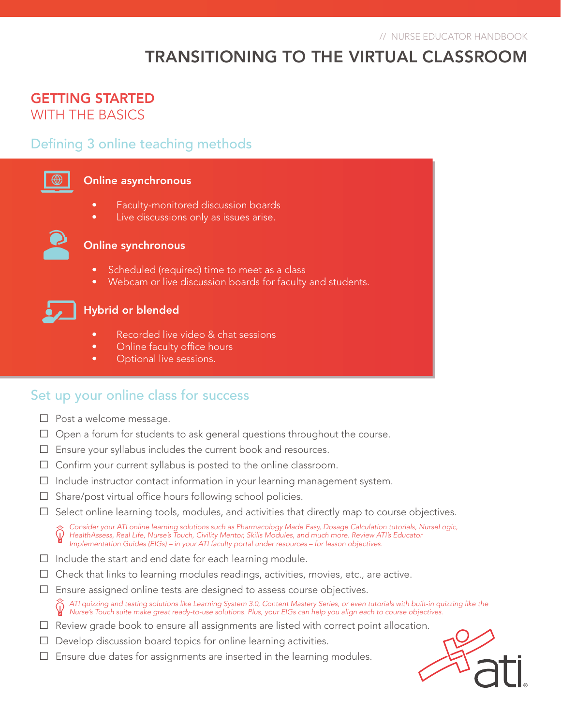# TRANSITIONING TO THE VIRTUAL CLASSROOM

## GETTING STARTED WITH THE BASICS

### Defining 3 online teaching methods

#### Online asynchronous

- Faculty-monitored discussion boards
- Live discussions only as issues arise.



#### Online synchronous

- Scheduled (required) time to meet as a class
- Webcam or live discussion boards for faculty and students.



### Hybrid or blended

- Recorded live video & chat sessions
- Online faculty office hours
- Optional live sessions.

### Set up your online class for success

- □ Post a welcome message.
- $\Box$  Open a forum for students to ask general questions throughout the course.
- □ Ensure your syllabus includes the current book and resources.
- $\Box$  Confirm your current syllabus is posted to the online classroom.
- $\Box$  Include instructor contact information in your learning management system.
- $\Box$  Share/post virtual office hours following school policies.
- $\Box$  Select online learning tools, modules, and activities that directly map to course objectives.

*Consider your ATI online learning solutions such as Pharmacology Made Easy, Dosage Calculation tutorials, NurseLogic, HealthAssess, Real Life, Nurse's Touch, Civility Mentor, Skills Modules, and much more. Review ATI's Educator Implementation Guides (EIGs) – in your ATI faculty portal under resources – for lesson objectives.*

- $\Box$  Include the start and end date for each learning module.
- $\Box$  Check that links to learning modules readings, activities, movies, etc., are active.
- $\square$  Ensure assigned online tests are designed to assess course objectives.
	- *ATI quizzing and testing solutions like Learning System 3.0, Content Mastery Series, or even tutorials with built-in quizzing like the Nurse's Touch suite make great ready-to-use solutions. Plus, your EIGs can help you align each to course objectives.*
- $\Box$  Review grade book to ensure all assignments are listed with correct point allocation.
- $\Box$  Develop discussion board topics for online learning activities.
- $\square$  Ensure due dates for assignments are inserted in the learning modules.

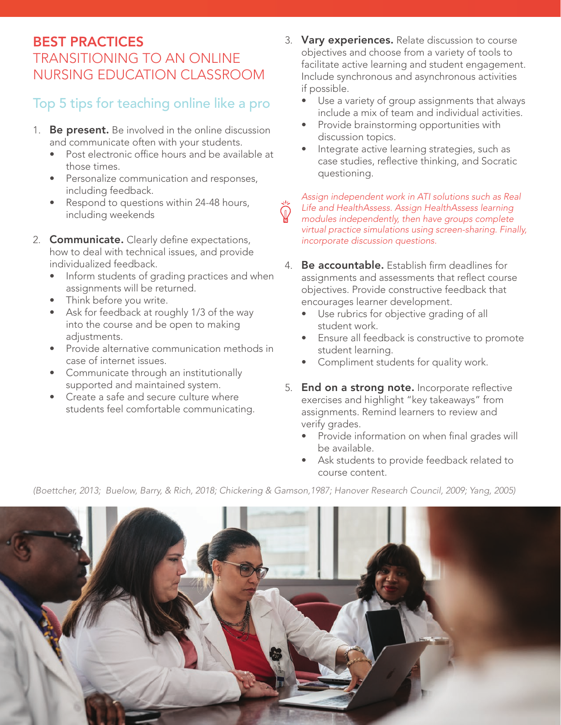# BEST PRACTICES TRANSITIONING TO AN ONLINE NURSING EDUCATION CLASSROOM

# Top 5 tips for teaching online like a pro

- 1. Be present. Be involved in the online discussion and communicate often with your students.
	- Post electronic office hours and be available at those times.
	- Personalize communication and responses, including feedback.
	- Respond to questions within 24-48 hours, including weekends
- 2. **Communicate.** Clearly define expectations, how to deal with technical issues, and provide individualized feedback.
	- Inform students of grading practices and when assignments will be returned.
	- Think before you write.
	- Ask for feedback at roughly 1/3 of the way into the course and be open to making adiustments.
	- Provide alternative communication methods in case of internet issues.
	- Communicate through an institutionally supported and maintained system.
	- Create a safe and secure culture where students feel comfortable communicating.
- 3. Vary experiences. Relate discussion to course objectives and choose from a variety of tools to facilitate active learning and student engagement. Include synchronous and asynchronous activities if possible.
	- Use a variety of group assignments that always include a mix of team and individual activities.
	- Provide brainstorming opportunities with discussion topics.
	- Integrate active learning strategies, such as case studies, reflective thinking, and Socratic questioning.

*Assign independent work in ATI solutions such as Real Life and HealthAssess. Assign HealthAssess learning modules independently, then have groups complete virtual practice simulations using screen-sharing. Finally, incorporate discussion questions.*

- 4. Be accountable. Establish firm deadlines for assignments and assessments that reflect course objectives. Provide constructive feedback that encourages learner development.
	- Use rubrics for objective grading of all student work.
	- Ensure all feedback is constructive to promote student learning.
	- Compliment students for quality work.
- 5. End on a strong note. Incorporate reflective exercises and highlight "key takeaways" from assignments. Remind learners to review and verify grades.
	- Provide information on when final grades will be available.
	- Ask students to provide feedback related to course content.

*(Boettcher, 2013; Buelow, Barry, & Rich, 2018; Chickering & Gamson,1987; Hanover Research Council, 2009; Yang, 2005)*

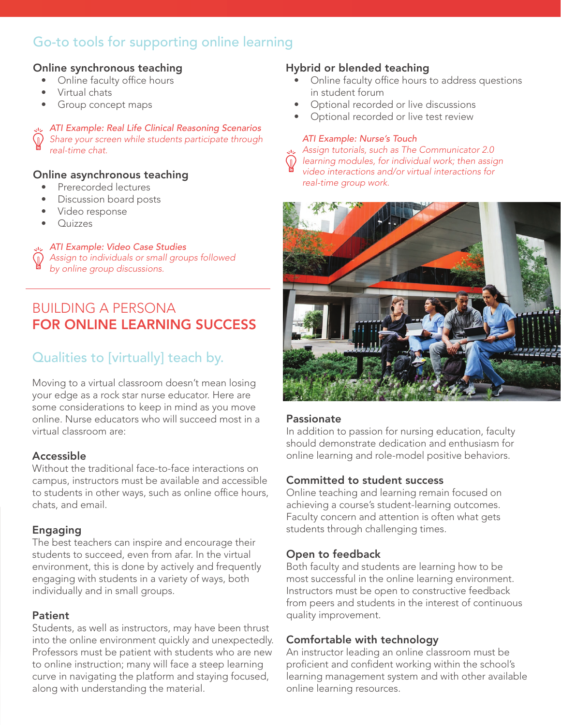# Go-to tools for supporting online learning

### Online synchronous teaching

- Online faculty office hours
- Virtual chats
- Group concept maps

*ATI Example: Real Life Clinical Reasoning Scenarios Share your screen while students participate through real-time chat.*

#### Online asynchronous teaching

- Prerecorded lectures
- Discussion board posts
- Video response
- Quizzes

#### *ATI Example: Video Case Studies*

*Assign to individuals or small groups followed by online group discussions.*

# BUILDING A PERSONA FOR ONLINE LEARNING SUCCESS

# Qualities to [virtually] teach by.

Moving to a virtual classroom doesn't mean losing your edge as a rock star nurse educator. Here are some considerations to keep in mind as you move online. Nurse educators who will succeed most in a virtual classroom are:

#### Accessible

Without the traditional face-to-face interactions on campus, instructors must be available and accessible to students in other ways, such as online office hours, chats, and email.

### Engaging

The best teachers can inspire and encourage their students to succeed, even from afar. In the virtual environment, this is done by actively and frequently engaging with students in a variety of ways, both individually and in small groups.

#### **Patient**

Students, as well as instructors, may have been thrust into the online environment quickly and unexpectedly. Professors must be patient with students who are new to online instruction; many will face a steep learning curve in navigating the platform and staying focused, along with understanding the material.

### Hybrid or blended teaching

- Online faculty office hours to address questions in student forum
- Optional recorded or live discussions
- Optional recorded or live test review

#### *ATI Example: Nurse's Touch*

*Assign tutorials, such as The Communicator 2.0 learning modules, for individual work; then assign video interactions and/or virtual interactions for real-time group work.* 



#### Passionate

In addition to passion for nursing education, faculty should demonstrate dedication and enthusiasm for online learning and role-model positive behaviors.

### Committed to student success

Online teaching and learning remain focused on achieving a course's student-learning outcomes. Faculty concern and attention is often what gets students through challenging times.

### Open to feedback

Both faculty and students are learning how to be most successful in the online learning environment. Instructors must be open to constructive feedback from peers and students in the interest of continuous quality improvement.

### Comfortable with technology

An instructor leading an online classroom must be proficient and confident working within the school's learning management system and with other available online learning resources.